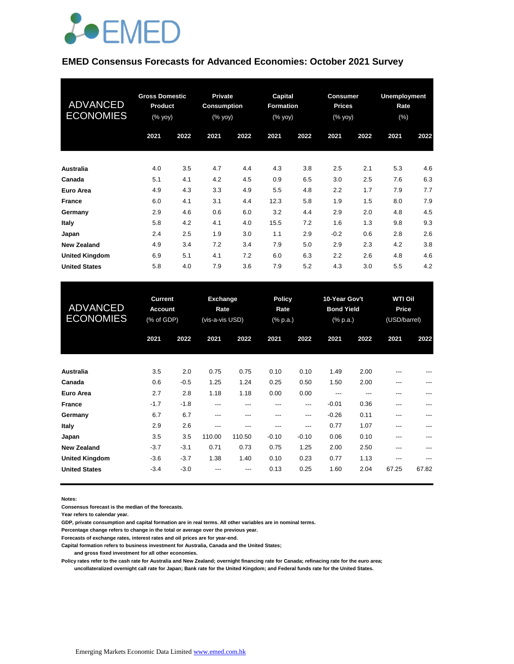

#### **EMED Consensus Forecasts for Advanced Economies: October 2021 Survey**

| <b>ADVANCED</b><br><b>ECONOMIES</b> | <b>Gross Domestic</b><br><b>Product</b><br>$(% \mathbf{y}\right)$ (% $\overline{\mathbf{y}}$ $\overline{\mathbf{y}}$ $\overline{\mathbf{y}}$ |      | <b>Private</b><br><b>Consumption</b><br>$(% \mathbf{y}\right)$ (% $\overline{\mathbf{y}}$ $\overline{\mathbf{y}}$ $\overline{\mathbf{y}}$ |      | <b>Capital</b><br><b>Formation</b><br>(% yoy) |      | <b>Consumer</b><br><b>Prices</b><br>(% yoy) |      | <b>Unemployment</b><br>Rate<br>$(\%)$ |      |
|-------------------------------------|----------------------------------------------------------------------------------------------------------------------------------------------|------|-------------------------------------------------------------------------------------------------------------------------------------------|------|-----------------------------------------------|------|---------------------------------------------|------|---------------------------------------|------|
|                                     | 2021                                                                                                                                         | 2022 | 2021                                                                                                                                      | 2022 | 2021                                          | 2022 | 2021                                        | 2022 | 2021                                  | 2022 |
| <b>Australia</b>                    | 4.0                                                                                                                                          | 3.5  | 4.7                                                                                                                                       | 4.4  | 4.3                                           | 3.8  | 2.5                                         | 2.1  | 5.3                                   | 4.6  |
| Canada                              | 5.1                                                                                                                                          | 4.1  | 4.2                                                                                                                                       | 4.5  | 0.9                                           | 6.5  | 3.0                                         | 2.5  | 7.6                                   | 6.3  |
| Euro Area                           | 4.9                                                                                                                                          | 4.3  | 3.3                                                                                                                                       | 4.9  | 5.5                                           | 4.8  | 2.2                                         | 1.7  | 7.9                                   | 7.7  |
| <b>France</b>                       | 6.0                                                                                                                                          | 4.1  | 3.1                                                                                                                                       | 4.4  | 12.3                                          | 5.8  | 1.9                                         | 1.5  | 8.0                                   | 7.9  |
| Germany                             | 2.9                                                                                                                                          | 4.6  | 0.6                                                                                                                                       | 6.0  | 3.2                                           | 4.4  | 2.9                                         | 2.0  | 4.8                                   | 4.5  |
| Italy                               | 5.8                                                                                                                                          | 4.2  | 4.1                                                                                                                                       | 4.0  | 15.5                                          | 7.2  | 1.6                                         | 1.3  | 9.8                                   | 9.3  |
| Japan                               | 2.4                                                                                                                                          | 2.5  | 1.9                                                                                                                                       | 3.0  | 1.1                                           | 2.9  | $-0.2$                                      | 0.6  | 2.8                                   | 2.6  |
| <b>New Zealand</b>                  | 4.9                                                                                                                                          | 3.4  | 7.2                                                                                                                                       | 3.4  | 7.9                                           | 5.0  | 2.9                                         | 2.3  | 4.2                                   | 3.8  |
| <b>United Kingdom</b>               | 6.9                                                                                                                                          | 5.1  | 4.1                                                                                                                                       | 7.2  | 6.0                                           | 6.3  | 2.2                                         | 2.6  | 4.8                                   | 4.6  |
| <b>United States</b>                | 5.8                                                                                                                                          | 4.0  | 7.9                                                                                                                                       | 3.6  | 7.9                                           | 5.2  | 4.3                                         | 3.0  | 5.5                                   | 4.2  |

| <b>ADVANCED</b><br><b>ECONOMIES</b> | <b>Current</b><br><b>Account</b><br>(% of GDP) |        | <b>Exchange</b><br>Rate<br>(vis-a-vis USD) |        |         | <b>Policy</b><br>Rate<br>(% p.a.) |         | 10-Year Gov't<br><b>Bond Yield</b><br>(% p.a.) |       | <b>WTI Oil</b><br>Price<br>(USD/barrel) |  |
|-------------------------------------|------------------------------------------------|--------|--------------------------------------------|--------|---------|-----------------------------------|---------|------------------------------------------------|-------|-----------------------------------------|--|
|                                     | 2021                                           | 2022   | 2021                                       | 2022   | 2021    | 2022                              | 2021    | 2022                                           | 2021  | 2022                                    |  |
| <b>Australia</b>                    | 3.5                                            | 2.0    | 0.75                                       | 0.75   | 0.10    | 0.10                              | 1.49    | 2.00                                           | $---$ | ---                                     |  |
| Canada                              | 0.6                                            | $-0.5$ | 1.25                                       | 1.24   | 0.25    | 0.50                              | 1.50    | 2.00                                           | ---   | ---                                     |  |
| Euro Area                           | 2.7                                            | 2.8    | 1.18                                       | 1.18   | 0.00    | 0.00                              | ---     | ---                                            | ---   | ---                                     |  |
| <b>France</b>                       | $-1.7$                                         | $-1.8$ | ---                                        | ---    | ---     | ---                               | $-0.01$ | 0.36                                           | ---   | ---                                     |  |
| Germany                             | 6.7                                            | 6.7    | ---                                        | ---    | ---     | ---                               | $-0.26$ | 0.11                                           | ---   | ---                                     |  |
| Italy                               | 2.9                                            | 2.6    | ---                                        | ---    | ---     | ---                               | 0.77    | 1.07                                           | $---$ | ---                                     |  |
| Japan                               | 3.5                                            | 3.5    | 110.00                                     | 110.50 | $-0.10$ | $-0.10$                           | 0.06    | 0.10                                           | ---   | ---                                     |  |
| <b>New Zealand</b>                  | $-3.7$                                         | $-3.1$ | 0.71                                       | 0.73   | 0.75    | 1.25                              | 2.00    | 2.50                                           | ---   |                                         |  |
| <b>United Kingdom</b>               | $-3.6$                                         | $-3.7$ | 1.38                                       | 1.40   | 0.10    | 0.23                              | 0.77    | 1.13                                           | ---   | ---                                     |  |
| <b>United States</b>                | $-3.4$                                         | $-3.0$ | ---                                        | ---    | 0.13    | 0.25                              | 1.60    | 2.04                                           | 67.25 | 67.82                                   |  |

**Notes:** 

**Consensus forecast is the median of the forecasts.**

**Year refers to calendar year.**

**GDP, private consumption and capital formation are in real terms. All other variables are in nominal terms.**

**Percentage change refers to change in the total or average over the previous year.**

**Forecasts of exchange rates, interest rates and oil prices are for year-end.**

**Capital formation refers to business investment for Australia, Canada and the United States;**

 **and gross fixed investment for all other economies.**

**Policy rates refer to the cash rate for Australia and New Zealand; overnight financing rate for Canada; refinacing rate for the euro area; uncollateralized overnight call rate for Japan; Bank rate for the United Kingdom; and Federal funds rate for the United States.**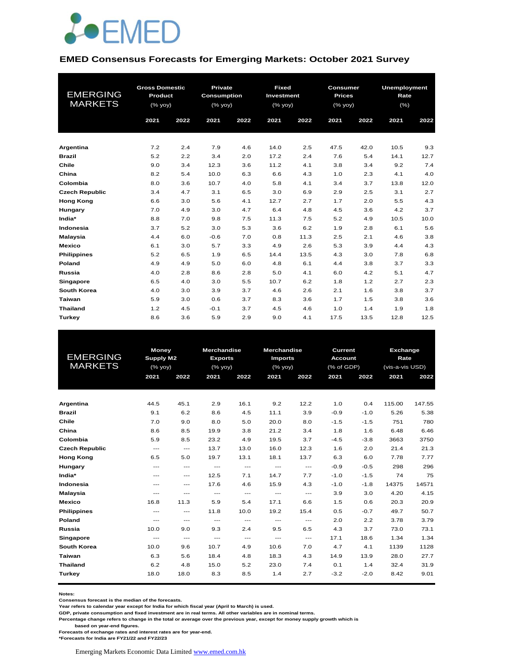

#### **EMED Consensus Forecasts for Emerging Markets: October 2021 Survey**

| <b>EMERGING</b><br><b>MARKETS</b> | <b>Gross Domestic</b><br>Product<br>(% yoy)<br>2021<br>2022 |     | Private<br><b>Consumption</b><br>(% yoy)<br>2021<br>2022 |     | Fixed<br>Investment<br>$(%$ (% yoy)<br>2021<br>2022 |      | <b>Consumer</b><br><b>Prices</b><br>$(\%$ yoy)<br>2021<br>2022 |      | <b>Unemployment</b><br>Rate<br>(%)<br>2021<br>2022 |      |
|-----------------------------------|-------------------------------------------------------------|-----|----------------------------------------------------------|-----|-----------------------------------------------------|------|----------------------------------------------------------------|------|----------------------------------------------------|------|
|                                   |                                                             |     |                                                          |     |                                                     |      |                                                                |      |                                                    |      |
| Argentina                         | 7.2                                                         | 2.4 | 7.9                                                      | 4.6 | 14.0                                                | 2.5  | 47.5                                                           | 42.0 | 10.5                                               | 9.3  |
| <b>Brazil</b>                     | 5.2                                                         | 2.2 | 3.4                                                      | 2.0 | 17.2                                                | 2.4  | 7.6                                                            | 5.4  | 14.1                                               | 12.7 |
| Chile                             | 9.0                                                         | 3.4 | 12.3                                                     | 3.6 | 11.2                                                | 4.1  | 3.8                                                            | 3.4  | 9.2                                                | 7.4  |
| China                             | 8.2                                                         | 5.4 | 10.0                                                     | 6.3 | 6.6                                                 | 4.3  | 1.0                                                            | 2.3  | 4.1                                                | 4.0  |
| Colombia                          | 8.0                                                         | 3.6 | 10.7                                                     | 4.0 | 5.8                                                 | 4.1  | 3.4                                                            | 3.7  | 13.8                                               | 12.0 |
| <b>Czech Republic</b>             | 3.4                                                         | 4.7 | 3.1                                                      | 6.5 | 3.0                                                 | 6.9  | 2.9                                                            | 2.5  | 3.1                                                | 2.7  |
| <b>Hong Kong</b>                  | 6.6                                                         | 3.0 | 5.6                                                      | 4.1 | 12.7                                                | 2.7  | 1.7                                                            | 2.0  | 5.5                                                | 4.3  |
| Hungary                           | 7.0                                                         | 4.9 | 3.0                                                      | 4.7 | 6.4                                                 | 4.8  | 4.5                                                            | 3.6  | 4.2                                                | 3.7  |
| India*                            | 8.8                                                         | 7.0 | 9.8                                                      | 7.5 | 11.3                                                | 7.5  | 5.2                                                            | 4.9  | 10.5                                               | 10.0 |
| Indonesia                         | 3.7                                                         | 5.2 | 3.0                                                      | 5.3 | 3.6                                                 | 6.2  | 1.9                                                            | 2.8  | 6.1                                                | 5.6  |
| <b>Malaysia</b>                   | 4.4                                                         | 6.0 | $-0.6$                                                   | 7.0 | 0.8                                                 | 11.3 | 2.5                                                            | 2.1  | 4.6                                                | 3.8  |
| <b>Mexico</b>                     | 6.1                                                         | 3.0 | 5.7                                                      | 3.3 | 4.9                                                 | 2.6  | 5.3                                                            | 3.9  | 4.4                                                | 4.3  |
| <b>Philippines</b>                | 5.2                                                         | 6.5 | 1.9                                                      | 6.5 | 14.4                                                | 13.5 | 4.3                                                            | 3.0  | 7.8                                                | 6.8  |
| Poland                            | 4.9                                                         | 4.9 | 5.0                                                      | 6.0 | 4.8                                                 | 6.1  | 4.4                                                            | 3.8  | 3.7                                                | 3.3  |
| Russia                            | 4.0                                                         | 2.8 | 8.6                                                      | 2.8 | 5.0                                                 | 4.1  | 6.0                                                            | 4.2  | 5.1                                                | 4.7  |
| Singapore                         | 6.5                                                         | 4.0 | 3.0                                                      | 5.5 | 10.7                                                | 6.2  | 1.8                                                            | 1.2  | 2.7                                                | 2.3  |
| <b>South Korea</b>                | 4.0                                                         | 3.0 | 3.9                                                      | 3.7 | 4.6                                                 | 2.6  | 2.1                                                            | 1.6  | 3.8                                                | 3.7  |
| Taiwan                            | 5.9                                                         | 3.0 | 0.6                                                      | 3.7 | 8.3                                                 | 3.6  | 1.7                                                            | 1.5  | 3.8                                                | 3.6  |
| <b>Thailand</b>                   | 1.2                                                         | 4.5 | $-0.1$                                                   | 3.7 | 4.5                                                 | 4.6  | 1.0                                                            | 1.4  | 1.9                                                | 1.8  |
| Turkey                            | 8.6                                                         | 3.6 | 5.9                                                      | 2.9 | 9.0                                                 | 4.1  | 17.5                                                           | 13.5 | 12.8                                               | 12.5 |

|                       | <b>Money</b>     |       | <b>Merchandise</b>                       |       | <b>Merchandise</b>  |                                     | <b>Current</b> |        |                                                                                                                                            |        |
|-----------------------|------------------|-------|------------------------------------------|-------|---------------------|-------------------------------------|----------------|--------|--------------------------------------------------------------------------------------------------------------------------------------------|--------|
| <b>EMERGING</b>       | <b>Supply M2</b> |       | <b>Exports</b>                           |       | <b>Imports</b>      |                                     | <b>Account</b> |        | Exchange<br>Rate<br>(vis-a-vis USD)<br>2021<br>115.00<br>5.26<br>751<br>6.48<br>3663<br>21.4<br>7.78<br>298<br>74<br>14375<br>4.20<br>20.3 |        |
| <b>MARKETS</b>        | (% yoy)          |       | (% yoy)                                  |       | $(%$ yoy)           |                                     | (% of GDP)     |        |                                                                                                                                            |        |
|                       | 2021             | 2022  | 2021                                     | 2022  | 2021                | 2022                                | 2021           | 2022   |                                                                                                                                            | 2022   |
|                       |                  |       |                                          |       |                     |                                     |                |        |                                                                                                                                            |        |
|                       |                  |       |                                          |       |                     |                                     |                |        |                                                                                                                                            |        |
| Argentina             | 44.5             | 45.1  | 2.9                                      | 16.1  | 9.2                 | 12.2                                | 1.0            | 0.4    |                                                                                                                                            | 147.55 |
| <b>Brazil</b>         | 9.1              | 6.2   | 8.6                                      | 4.5   | 11.1                | 3.9                                 | $-0.9$         | $-1.0$ |                                                                                                                                            | 5.38   |
| Chile                 | 7.0              | 9.0   | 8.0                                      | 5.0   | 20.0                | 8.0                                 | $-1.5$         | $-1.5$ |                                                                                                                                            | 780    |
| China                 | 8.6              | 8.5   | 19.9                                     | 3.8   | 21.2                | 3.4                                 | 1.8            | 1.6    |                                                                                                                                            | 6.46   |
| Colombia              | 5.9              | 8.5   | 23.2                                     | 4.9   | 19.5                | 3.7                                 | $-4.5$         | $-3.8$ |                                                                                                                                            | 3750   |
| <b>Czech Republic</b> | $---$            | $---$ | 13.7                                     | 13.0  | 16.0                | 12.3                                | 1.6            | 2.0    |                                                                                                                                            | 21.3   |
| <b>Hong Kong</b>      | 6.5              | 5.0   | 19.7                                     | 13.1  | 18.1                | 13.7                                | 6.3            | 6.0    |                                                                                                                                            | 7.77   |
| Hungary               | $---$            | $---$ | $---$                                    | $---$ | $---$               | $---$                               | $-0.9$         | $-0.5$ |                                                                                                                                            | 296    |
| India*                | $---$            | $---$ | 12.5                                     | 7.1   | 14.7                | 7.7                                 | $-1.0$         | $-1.5$ |                                                                                                                                            | 75     |
| Indonesia             | $---$            | $---$ | 17.6                                     | 4.6   | 15.9                | 4.3                                 | $-1.0$         | $-1.8$ |                                                                                                                                            | 14571  |
| <b>Malaysia</b>       | $---$            | $---$ | $---$                                    | $---$ | $---$               | $---$                               | 3.9            | 3.0    |                                                                                                                                            | 4.15   |
| <b>Mexico</b>         | 16.8             | 11.3  | 5.9                                      | 5.4   | 17.1                | 6.6                                 | 1.5            | 0.6    |                                                                                                                                            | 20.9   |
| <b>Philippines</b>    | $---$            | $---$ | 11.8                                     | 10.0  | 19.2                | 15.4                                | 0.5            | $-0.7$ | 49.7                                                                                                                                       | 50.7   |
| Poland                | $---$            | $---$ | $\hspace{0.05cm} \ldots \hspace{0.05cm}$ | $---$ | ---                 | $\hspace{0.05cm}---\hspace{0.05cm}$ | 2.0            | 2.2    | 3.78                                                                                                                                       | 3.79   |
| Russia                | 10.0             | 9.0   | 9.3                                      | 2.4   | 9.5                 | 6.5                                 | 4.3            | 3.7    | 73.0                                                                                                                                       | 73.1   |
| Singapore             | $---$            | $---$ | $\qquad \qquad -$                        | $---$ | $\qquad \qquad - -$ | $---$                               | 17.1           | 18.6   | 1.34                                                                                                                                       | 1.34   |
| <b>South Korea</b>    | 10.0             | 9.6   | 10.7                                     | 4.9   | 10.6                | 7.0                                 | 4.7            | 4.1    | 1139                                                                                                                                       | 1128   |
| Taiwan                | 6.3              | 5.6   | 18.4                                     | 4.8   | 18.3                | 4.3                                 | 14.9           | 13.9   | 28.0                                                                                                                                       | 27.7   |
| <b>Thailand</b>       | 6.2              | 4.8   | 15.0                                     | 5.2   | 23.0                | 7.4                                 | 0.1            | 1.4    | 32.4                                                                                                                                       | 31.9   |
| Turkey                | 18.0             | 18.0  | 8.3                                      | 8.5   | 1.4                 | 2.7                                 | $-3.2$         | $-2.0$ | 8.42                                                                                                                                       | 9.01   |
|                       |                  |       |                                          |       |                     |                                     |                |        |                                                                                                                                            |        |

**Notes:** 

**Consensus forecast is the median of the forecasts.**

**Year refers to calendar year except for India for which fiscal year (April to March) is used.**

**GDP, private consumption and fixed investment are in real terms. All other variables are in nominal terms.**

**Percentage change refers to change in the total or average over the previous year, except for money supply growth which is** 

 **based on year-end figures.**

**Forecasts of exchange rates and interest rates are for year-end.**

**\*Forecasts for India are FY21/22 and FY22/23**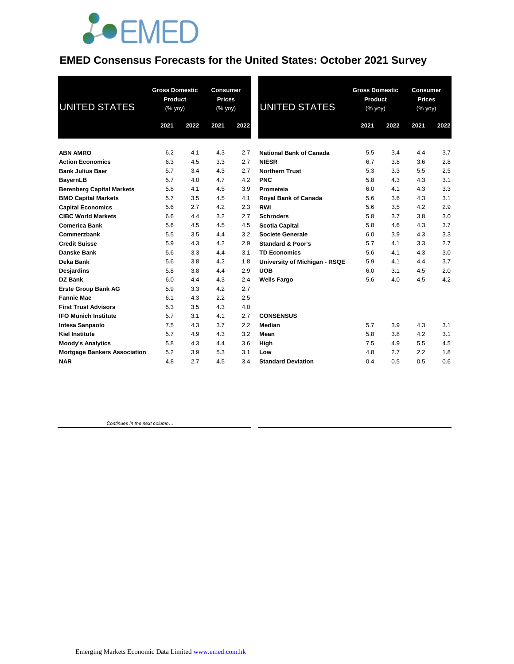

### **EMED Consensus Forecasts for the United States: October 2021 Survey**

| <b>UNITED STATES</b>                | <b>Gross Domestic</b><br>Product<br>(% yoy) |      | <b>Consumer</b><br><b>Prices</b><br>(% yoy) |      | <b>UNITED STATES</b>           | <b>Gross Domestic</b><br>Product<br>(% yoy) |      | <b>Consumer</b><br><b>Prices</b><br>(% yoy) |      |
|-------------------------------------|---------------------------------------------|------|---------------------------------------------|------|--------------------------------|---------------------------------------------|------|---------------------------------------------|------|
|                                     | 2021                                        | 2022 | 2021                                        | 2022 |                                | 2021                                        | 2022 | 2021                                        | 2022 |
| <b>ABN AMRO</b>                     | 6.2                                         | 4.1  | 4.3                                         | 2.7  | <b>National Bank of Canada</b> | 5.5                                         | 3.4  | 4.4                                         | 3.7  |
| <b>Action Economics</b>             | 6.3                                         | 4.5  | 3.3                                         | 2.7  | <b>NIESR</b>                   | 6.7                                         | 3.8  | 3.6                                         | 2.8  |
| <b>Bank Julius Baer</b>             | 5.7                                         | 3.4  | 4.3                                         | 2.7  | <b>Northern Trust</b>          | 5.3                                         | 3.3  | 5.5                                         | 2.5  |
| <b>BayernLB</b>                     | 5.7                                         | 4.0  | 4.7                                         | 4.2  | <b>PNC</b>                     | 5.8                                         | 4.3  | 4.3                                         | 3.1  |
| <b>Berenberg Capital Markets</b>    | 5.8                                         | 4.1  | 4.5                                         | 3.9  | Prometeia                      | 6.0                                         | 4.1  | 4.3                                         | 3.3  |
| <b>BMO Capital Markets</b>          | 5.7                                         | 3.5  | 4.5                                         | 4.1  | Royal Bank of Canada           | 5.6                                         | 3.6  | 4.3                                         | 3.1  |
| <b>Capital Economics</b>            | 5.6                                         | 2.7  | 4.2                                         | 2.3  | <b>RWI</b>                     | 5.6                                         | 3.5  | 4.2                                         | 2.9  |
| <b>CIBC World Markets</b>           | 6.6                                         | 4.4  | 3.2                                         | 2.7  | <b>Schroders</b>               | 5.8                                         | 3.7  | 3.8                                         | 3.0  |
| <b>Comerica Bank</b>                | 5.6                                         | 4.5  | 4.5                                         | 4.5  | <b>Scotia Capital</b>          | 5.8                                         | 4.6  | 4.3                                         | 3.7  |
| Commerzbank                         | 5.5                                         | 3.5  | 4.4                                         | 3.2  | Societe Generale               | 6.0                                         | 3.9  | 4.3                                         | 3.3  |
| <b>Credit Suisse</b>                | 5.9                                         | 4.3  | 4.2                                         | 2.9  | <b>Standard &amp; Poor's</b>   | 5.7                                         | 4.1  | 3.3                                         | 2.7  |
| <b>Danske Bank</b>                  | 5.6                                         | 3.3  | 4.4                                         | 3.1  | <b>TD Economics</b>            | 5.6                                         | 4.1  | 4.3                                         | 3.0  |
| Deka Bank                           | 5.6                                         | 3.8  | 4.2                                         | 1.8  | University of Michigan - RSQE  | 5.9                                         | 4.1  | 4.4                                         | 3.7  |
| Desjardins                          | 5.8                                         | 3.8  | 4.4                                         | 2.9  | <b>UOB</b>                     | 6.0                                         | 3.1  | 4.5                                         | 2.0  |
| <b>DZ Bank</b>                      | 6.0                                         | 4.4  | 4.3                                         | 2.4  | <b>Wells Fargo</b>             | 5.6                                         | 4.0  | 4.5                                         | 4.2  |
| <b>Erste Group Bank AG</b>          | 5.9                                         | 3.3  | 4.2                                         | 2.7  |                                |                                             |      |                                             |      |
| <b>Fannie Mae</b>                   | 6.1                                         | 4.3  | 2.2                                         | 2.5  |                                |                                             |      |                                             |      |
| <b>First Trust Advisors</b>         | 5.3                                         | 3.5  | 4.3                                         | 4.0  |                                |                                             |      |                                             |      |
| <b>IFO Munich Institute</b>         | 5.7                                         | 3.1  | 4.1                                         | 2.7  | <b>CONSENSUS</b>               |                                             |      |                                             |      |
| Intesa Sanpaolo                     | 7.5                                         | 4.3  | 3.7                                         | 2.2  | Median                         | 5.7                                         | 3.9  | 4.3                                         | 3.1  |
| <b>Kiel Institute</b>               | 5.7                                         | 4.9  | 4.3                                         | 3.2  | Mean                           | 5.8                                         | 3.8  | 4.2                                         | 3.1  |
| <b>Moody's Analytics</b>            | 5.8                                         | 4.3  | 4.4                                         | 3.6  | High                           | 7.5                                         | 4.9  | 5.5                                         | 4.5  |
| <b>Mortgage Bankers Association</b> | 5.2                                         | 3.9  | 5.3                                         | 3.1  | Low                            | 4.8                                         | 2.7  | 2.2                                         | 1.8  |
| <b>NAR</b>                          | 4.8                                         | 2.7  | 4.5                                         | 3.4  | <b>Standard Deviation</b>      | 0.4                                         | 0.5  | 0.5                                         | 0.6  |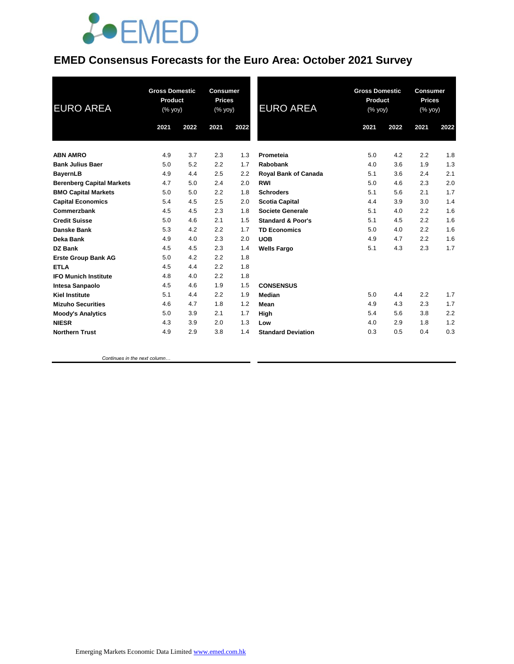

### **EMED Consensus Forecasts for the Euro Area: October 2021 Survey**

| <b>EURO AREA</b>                 | <b>Gross Domestic</b><br>Product<br>(% yoy) |      | <b>Consumer</b><br><b>Prices</b><br>(% yoy) |      | <b>EURO AREA</b>             | <b>Gross Domestic</b><br><b>Product</b><br>(% yoy) |      | <b>Consumer</b><br><b>Prices</b><br>(% yoy) |      |
|----------------------------------|---------------------------------------------|------|---------------------------------------------|------|------------------------------|----------------------------------------------------|------|---------------------------------------------|------|
|                                  | 2021                                        | 2022 | 2021                                        | 2022 |                              | 2021                                               | 2022 | 2021                                        | 2022 |
| <b>ABN AMRO</b>                  | 4.9                                         | 3.7  | 2.3                                         | 1.3  | Prometeia                    | 5.0                                                | 4.2  | 2.2                                         | 1.8  |
| <b>Bank Julius Baer</b>          | 5.0                                         | 5.2  | 2.2                                         | 1.7  | Rabobank                     | 4.0                                                | 3.6  | 1.9                                         | 1.3  |
| <b>BayernLB</b>                  | 4.9                                         | 4.4  | 2.5                                         | 2.2  | <b>Royal Bank of Canada</b>  | 5.1                                                | 3.6  | 2.4                                         | 2.1  |
| <b>Berenberg Capital Markets</b> | 4.7                                         | 5.0  | 2.4                                         | 2.0  | <b>RWI</b>                   | 5.0                                                | 4.6  | 2.3                                         | 2.0  |
| <b>BMO Capital Markets</b>       | 5.0                                         | 5.0  | 2.2                                         | 1.8  | <b>Schroders</b>             | 5.1                                                | 5.6  | 2.1                                         | 1.7  |
| <b>Capital Economics</b>         | 5.4                                         | 4.5  | 2.5                                         | 2.0  | <b>Scotia Capital</b>        | 4.4                                                | 3.9  | 3.0                                         | 1.4  |
| Commerzbank                      | 4.5                                         | 4.5  | 2.3                                         | 1.8  | <b>Societe Generale</b>      | 5.1                                                | 4.0  | 2.2                                         | 1.6  |
| <b>Credit Suisse</b>             | 5.0                                         | 4.6  | 2.1                                         | 1.5  | <b>Standard &amp; Poor's</b> | 5.1                                                | 4.5  | 2.2                                         | 1.6  |
| Danske Bank                      | 5.3                                         | 4.2  | 2.2                                         | 1.7  | <b>TD Economics</b>          | 5.0                                                | 4.0  | 2.2                                         | 1.6  |
| Deka Bank                        | 4.9                                         | 4.0  | 2.3                                         | 2.0  | <b>UOB</b>                   | 4.9                                                | 4.7  | 2.2                                         | 1.6  |
| DZ Bank                          | 4.5                                         | 4.5  | 2.3                                         | 1.4  | <b>Wells Fargo</b>           | 5.1                                                | 4.3  | 2.3                                         | 1.7  |
| <b>Erste Group Bank AG</b>       | 5.0                                         | 4.2  | 2.2                                         | 1.8  |                              |                                                    |      |                                             |      |
| <b>ETLA</b>                      | 4.5                                         | 4.4  | 2.2                                         | 1.8  |                              |                                                    |      |                                             |      |
| <b>IFO Munich Institute</b>      | 4.8                                         | 4.0  | 2.2                                         | 1.8  |                              |                                                    |      |                                             |      |
| <b>Intesa Sanpaolo</b>           | 4.5                                         | 4.6  | 1.9                                         | 1.5  | <b>CONSENSUS</b>             |                                                    |      |                                             |      |
| <b>Kiel Institute</b>            | 5.1                                         | 4.4  | 2.2                                         | 1.9  | Median                       | 5.0                                                | 4.4  | 2.2                                         | 1.7  |
| <b>Mizuho Securities</b>         | 4.6                                         | 4.7  | 1.8                                         | 1.2  | Mean                         | 4.9                                                | 4.3  | 2.3                                         | 1.7  |
| <b>Moody's Analytics</b>         | 5.0                                         | 3.9  | 2.1                                         | 1.7  | High                         | 5.4                                                | 5.6  | 3.8                                         | 2.2  |
| <b>NIESR</b>                     | 4.3                                         | 3.9  | 2.0                                         | 1.3  | Low                          | 4.0                                                | 2.9  | 1.8                                         | 1.2  |
| <b>Northern Trust</b>            | 4.9                                         | 2.9  | 3.8                                         | 1.4  | <b>Standard Deviation</b>    | 0.3                                                | 0.5  | 0.4                                         | 0.3  |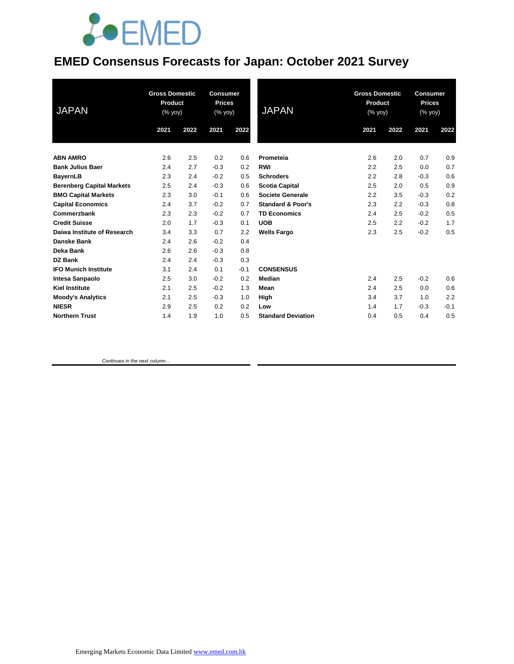# **JOEMED**

### **EMED Consensus Forecasts for Japan: October 2021 Survey**

| <b>JAPAN</b>                     | <b>Gross Domestic</b><br>Product<br>(% yoy) |      | <b>Consumer</b><br><b>Prices</b><br>(% yoy) |        | <b>JAPAN</b>                 | <b>Gross Domestic</b><br>Product<br>(% yoy) |      | <b>Consumer</b><br><b>Prices</b><br>(% yoy) |        |
|----------------------------------|---------------------------------------------|------|---------------------------------------------|--------|------------------------------|---------------------------------------------|------|---------------------------------------------|--------|
|                                  | 2021                                        | 2022 | 2021                                        | 2022   |                              | 2021                                        | 2022 | 2021                                        | 2022   |
| <b>ABN AMRO</b>                  | 2.6                                         | 2.5  | 0.2                                         | 0.6    | Prometeia                    | 2.6                                         | 2.0  | 0.7                                         | 0.9    |
| <b>Bank Julius Baer</b>          | 2.4                                         | 2.7  | $-0.3$                                      | 0.2    | <b>RWI</b>                   | 2.2                                         | 2.5  | 0.0                                         | 0.7    |
| <b>BayernLB</b>                  | 2.3                                         | 2.4  | $-0.2$                                      | 0.5    | <b>Schroders</b>             | 2.2                                         | 2.8  | $-0.3$                                      | 0.6    |
| <b>Berenberg Capital Markets</b> | 2.5                                         | 2.4  | $-0.3$                                      | 0.6    | <b>Scotia Capital</b>        | 2.5                                         | 2.0  | 0.5                                         | 0.9    |
| <b>BMO Capital Markets</b>       | 2.3                                         | 3.0  | $-0.1$                                      | 0.6    | Societe Generale             | 2.2                                         | 3.5  | $-0.3$                                      | 0.2    |
| <b>Capital Economics</b>         | 2.4                                         | 3.7  | $-0.2$                                      | 0.7    | <b>Standard &amp; Poor's</b> | 2.3                                         | 2.2  | $-0.3$                                      | 0.8    |
| Commerzbank                      | 2.3                                         | 2.3  | $-0.2$                                      | 0.7    | <b>TD Economics</b>          | 2.4                                         | 2.5  | $-0.2$                                      | 0.5    |
| <b>Credit Suisse</b>             | 2.0                                         | 1.7  | $-0.3$                                      | 0.1    | <b>UOB</b>                   | 2.5                                         | 2.2  | $-0.2$                                      | 1.7    |
| Daiwa Institute of Research      | 3.4                                         | 3.3  | 0.7                                         | 2.2    | <b>Wells Fargo</b>           | 2.3                                         | 2.5  | $-0.2$                                      | 0.5    |
| Danske Bank                      | 2.4                                         | 2.6  | $-0.2$                                      | 0.4    |                              |                                             |      |                                             |        |
| <b>Deka Bank</b>                 | 2.6                                         | 2.6  | $-0.3$                                      | 0.8    |                              |                                             |      |                                             |        |
| <b>DZ Bank</b>                   | 2.4                                         | 2.4  | $-0.3$                                      | 0.3    |                              |                                             |      |                                             |        |
| <b>IFO Munich Institute</b>      | 3.1                                         | 2.4  | 0.1                                         | $-0.1$ | <b>CONSENSUS</b>             |                                             |      |                                             |        |
| <b>Intesa Sanpaolo</b>           | 2.5                                         | 3.0  | $-0.2$                                      | 0.2    | <b>Median</b>                | 2.4                                         | 2.5  | $-0.2$                                      | 0.6    |
| <b>Kiel Institute</b>            | 2.1                                         | 2.5  | $-0.2$                                      | 1.3    | Mean                         | 2.4                                         | 2.5  | 0.0                                         | 0.6    |
| <b>Moody's Analytics</b>         | 2.1                                         | 2.5  | $-0.3$                                      | 1.0    | High                         | 3.4                                         | 3.7  | 1.0                                         | 2.2    |
| <b>NIESR</b>                     | 2.9                                         | 2.5  | 0.2                                         | 0.2    | Low                          | 1.4                                         | 1.7  | $-0.3$                                      | $-0.1$ |
| <b>Northern Trust</b>            | 1.4                                         | 1.9  | 1.0                                         | 0.5    | <b>Standard Deviation</b>    | 0.4                                         | 0.5  | 0.4                                         | 0.5    |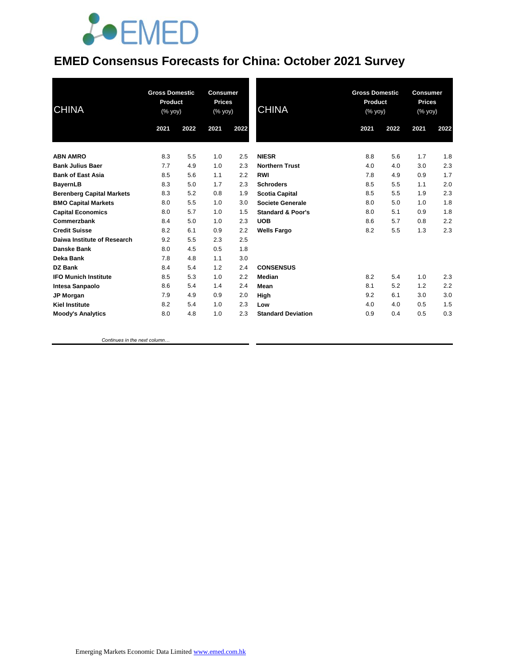# **JOEMED**

### **EMED Consensus Forecasts for China: October 2021 Survey**

| <b>CHINA</b>                     | <b>Gross Domestic</b><br>Product<br>$(% \mathsf{A}\rightarrow \mathsf{A})$ (% yoy) |      | <b>Consumer</b><br><b>Prices</b><br>(% yoy) |      | <b>CHINA</b>                 | <b>Gross Domestic</b><br>Product<br>(% |      | <b>Consumer</b><br><b>Prices</b><br>(% yoy) |      |
|----------------------------------|------------------------------------------------------------------------------------|------|---------------------------------------------|------|------------------------------|----------------------------------------|------|---------------------------------------------|------|
|                                  | 2021                                                                               | 2022 | 2021                                        | 2022 |                              | 2021                                   | 2022 | 2021                                        | 2022 |
| <b>ABN AMRO</b>                  | 8.3                                                                                | 5.5  | 1.0                                         | 2.5  | <b>NIESR</b>                 | 8.8                                    | 5.6  | 1.7                                         | 1.8  |
| <b>Bank Julius Baer</b>          | 7.7                                                                                | 4.9  | 1.0                                         | 2.3  | <b>Northern Trust</b>        | 4.0                                    | 4.0  | 3.0                                         | 2.3  |
| <b>Bank of East Asia</b>         | 8.5                                                                                | 5.6  | 1.1                                         | 2.2  | <b>RWI</b>                   | 7.8                                    | 4.9  | 0.9                                         | 1.7  |
| <b>BayernLB</b>                  | 8.3                                                                                | 5.0  | 1.7                                         | 2.3  | <b>Schroders</b>             | 8.5                                    | 5.5  | 1.1                                         | 2.0  |
| <b>Berenberg Capital Markets</b> | 8.3                                                                                | 5.2  | 0.8                                         | 1.9  | <b>Scotia Capital</b>        | 8.5                                    | 5.5  | 1.9                                         | 2.3  |
| <b>BMO Capital Markets</b>       | 8.0                                                                                | 5.5  | 1.0                                         | 3.0  | <b>Societe Generale</b>      | 8.0                                    | 5.0  | 1.0                                         | 1.8  |
| <b>Capital Economics</b>         | 8.0                                                                                | 5.7  | 1.0                                         | 1.5  | <b>Standard &amp; Poor's</b> | 8.0                                    | 5.1  | 0.9                                         | 1.8  |
| Commerzbank                      | 8.4                                                                                | 5.0  | 1.0                                         | 2.3  | <b>UOB</b>                   | 8.6                                    | 5.7  | 0.8                                         | 2.2  |
| <b>Credit Suisse</b>             | 8.2                                                                                | 6.1  | 0.9                                         | 2.2  | <b>Wells Fargo</b>           | 8.2                                    | 5.5  | 1.3                                         | 2.3  |
| Daiwa Institute of Research      | 9.2                                                                                | 5.5  | 2.3                                         | 2.5  |                              |                                        |      |                                             |      |
| Danske Bank                      | 8.0                                                                                | 4.5  | 0.5                                         | 1.8  |                              |                                        |      |                                             |      |
| Deka Bank                        | 7.8                                                                                | 4.8  | 1.1                                         | 3.0  |                              |                                        |      |                                             |      |
| <b>DZ Bank</b>                   | 8.4                                                                                | 5.4  | 1.2                                         | 2.4  | <b>CONSENSUS</b>             |                                        |      |                                             |      |
| <b>IFO Munich Institute</b>      | 8.5                                                                                | 5.3  | 1.0                                         | 2.2  | Median                       | 8.2                                    | 5.4  | 1.0                                         | 2.3  |
| Intesa Sanpaolo                  | 8.6                                                                                | 5.4  | 1.4                                         | 2.4  | Mean                         | 8.1                                    | 5.2  | 1.2                                         | 2.2  |
| JP Morgan                        | 7.9                                                                                | 4.9  | 0.9                                         | 2.0  | High                         | 9.2                                    | 6.1  | 3.0                                         | 3.0  |
| <b>Kiel Institute</b>            | 8.2                                                                                | 5.4  | 1.0                                         | 2.3  | Low                          | 4.0                                    | 4.0  | 0.5                                         | 1.5  |
| <b>Moody's Analytics</b>         | 8.0                                                                                | 4.8  | 1.0                                         | 2.3  | <b>Standard Deviation</b>    | 0.9                                    | 0.4  | 0.5                                         | 0.3  |
|                                  |                                                                                    |      |                                             |      |                              |                                        |      |                                             |      |